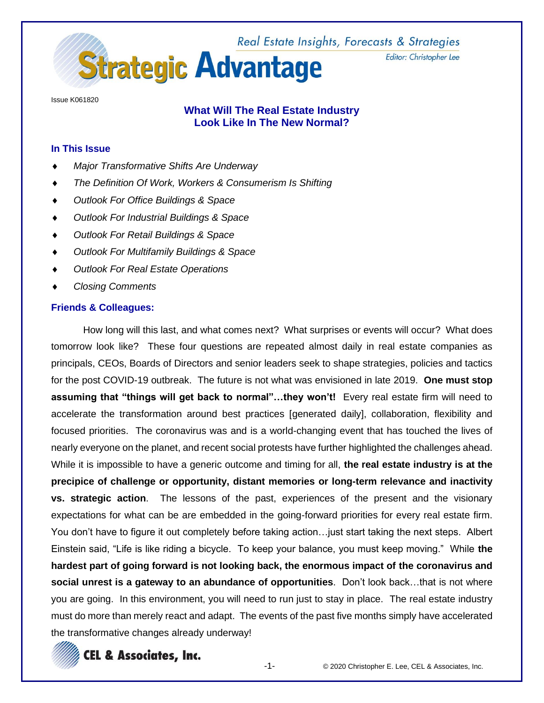Real Estate Insights, Forecasts & Strategies **Strategic Advantage** 

Issue K061820

# **What Will The Real Estate Industry Look Like In The New Normal?**

## **In This Issue**

- *Major Transformative Shifts Are Underway*
- *The Definition Of Work, Workers & Consumerism Is Shifting*
- *Outlook For Office Buildings & Space*
- *Outlook For Industrial Buildings & Space*
- *Outlook For Retail Buildings & Space*
- *Outlook For Multifamily Buildings & Space*
- *Outlook For Real Estate Operations*
- *Closing Comments*

### **Friends & Colleagues:**

How long will this last, and what comes next? What surprises or events will occur? What does tomorrow look like? These four questions are repeated almost daily in real estate companies as principals, CEOs, Boards of Directors and senior leaders seek to shape strategies, policies and tactics for the post COVID-19 outbreak. The future is not what was envisioned in late 2019. **One must stop assuming that "things will get back to normal"…they won't!** Every real estate firm will need to accelerate the transformation around best practices [generated daily], collaboration, flexibility and focused priorities. The coronavirus was and is a world-changing event that has touched the lives of nearly everyone on the planet, and recent social protests have further highlighted the challenges ahead. While it is impossible to have a generic outcome and timing for all, **the real estate industry is at the precipice of challenge or opportunity, distant memories or long-term relevance and inactivity vs. strategic action**. The lessons of the past, experiences of the present and the visionary expectations for what can be are embedded in the going-forward priorities for every real estate firm. You don't have to figure it out completely before taking action…just start taking the next steps. Albert Einstein said, "Life is like riding a bicycle. To keep your balance, you must keep moving." While **the hardest part of going forward is not looking back, the enormous impact of the coronavirus and social unrest is a gateway to an abundance of opportunities**. Don't look back…that is not where you are going. In this environment, you will need to run just to stay in place. The real estate industry must do more than merely react and adapt. The events of the past five months simply have accelerated the transformative changes already underway!



Editor: Christopher Lee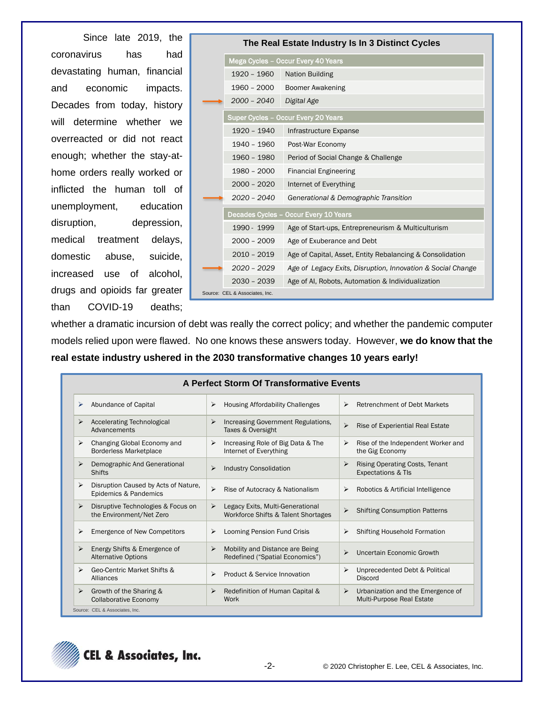Since late 2019, the coronavirus has had devastating human, financial and economic impacts. Decades from today, history will determine whether we overreacted or did not react enough; whether the stay-athome orders really worked or inflicted the human toll of unemployment, education disruption, depression, medical treatment delays, domestic abuse, suicide, increased use of alcohol, drugs and opioids far greater than COVID-19 deaths;

|                                | The Real Estate Industry Is In 3 Distinct Cycles            |
|--------------------------------|-------------------------------------------------------------|
|                                | Mega Cycles - Occur Every 40 Years                          |
| 1920 - 1960                    | <b>Nation Building</b>                                      |
|                                | 1960 - 2000 Boomer Awakening                                |
| 2000 - 2040 Digital Age        |                                                             |
|                                | Super Cycles - Occur Every 20 Years                         |
| 1920 - 1940                    | Infrastructure Expanse                                      |
| 1940 - 1960                    | Post-War Economy                                            |
| 1960 - 1980                    | Period of Social Change & Challenge                         |
| 1980 - 2000                    | <b>Financial Engineering</b>                                |
| $2000 - 2020$                  | Internet of Everything                                      |
| $2020 - 2040$                  | Generational & Demographic Transition                       |
|                                | Decades Cycles - Occur Every 10 Years                       |
| 1990 - 1999                    | Age of Start-ups, Entrepreneurism & Multiculturism          |
| $2000 - 2009$                  | Age of Exuberance and Debt                                  |
| $2010 - 2019$                  | Age of Capital, Asset, Entity Rebalancing & Consolidation   |
| $2020 - 2029$                  | Age of Legacy Exits, Disruption, Innovation & Social Change |
| $2030 - 2039$                  | Age of AI, Robots, Automation & Individualization           |
| Source: CEL & Associates. Inc. |                                                             |

whether a dramatic incursion of debt was really the correct policy; and whether the pandemic computer models relied upon were flawed. No one knows these answers today. However, **we do know that the real estate industry ushered in the 2030 transformative changes 10 years early!**

|                       |                                                                | A Perfect Storm Of Transformative Events                                             |                                                                     |
|-----------------------|----------------------------------------------------------------|--------------------------------------------------------------------------------------|---------------------------------------------------------------------|
| ⋗                     | Abundance of Capital                                           | ⋗<br><b>Housing Affordability Challenges</b>                                         | ⋗<br><b>Retrenchment of Debt Markets</b>                            |
| ⋗                     | <b>Accelerating Technological</b><br>Advancements              | ⋗<br>Increasing Government Regulations,<br>Taxes & Oversight                         | ⋗<br>Rise of Experiential Real Estate                               |
| ⋗                     | Changing Global Economy and<br><b>Borderless Marketplace</b>   | Increasing Role of Big Data & The<br>$\blacktriangleright$<br>Internet of Everything | Rise of the Independent Worker and<br>⋗<br>the Gig Economy          |
| ⋗                     | Demographic And Generational<br><b>Shifts</b>                  | <b>Industry Consolidation</b><br>⋗                                                   | Rising Operating Costs, Tenant<br>⋗<br>Expectations & TIs           |
| ⋗                     | Disruption Caused by Acts of Nature,<br>Epidemics & Pandemics  | $\blacktriangleright$<br>Rise of Autocracy & Nationalism                             | Robotics & Artificial Intelligence<br>⋗                             |
| $\blacktriangleright$ | Disruptive Technologies & Focus on<br>the Environment/Net Zero | Legacy Exits, Multi-Generational<br>⋗<br>Workforce Shifts & Talent Shortages         | <b>Shifting Consumption Patterns</b><br>⋗                           |
| ⋗                     | <b>Emergence of New Competitors</b>                            | Looming Pension Fund Crisis<br>$\blacktriangleright$                                 | <b>Shifting Household Formation</b><br>⋗                            |
| ⋗                     | Energy Shifts & Emergence of<br><b>Alternative Options</b>     | Mobility and Distance are Being<br>➤<br>Redefined ("Spatial Economics")              | Uncertain Economic Growth<br>↘                                      |
| $\blacktriangleright$ | Geo-Centric Market Shifts &<br>Alliances                       | Product & Service Innovation<br>↘                                                    | ⋗<br>Unprecedented Debt & Political<br><b>Discord</b>               |
| $\blacktriangleright$ | Growth of the Sharing &<br><b>Collaborative Economy</b>        | Redefinition of Human Capital &<br>⋗<br>Work                                         | Urbanization and the Emergence of<br>➤<br>Multi-Purpose Real Estate |

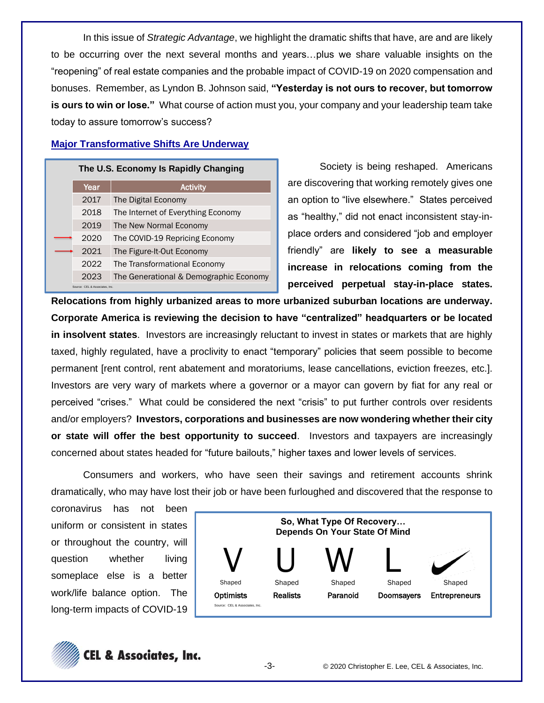In this issue of *Strategic Advantage*, we highlight the dramatic shifts that have, are and are likely to be occurring over the next several months and years…plus we share valuable insights on the "reopening" of real estate companies and the probable impact of COVID-19 on 2020 compensation and bonuses. Remember, as Lyndon B. Johnson said, **"Yesterday is not ours to recover, but tomorrow is ours to win or lose."** What course of action must you, your company and your leadership team take today to assure tomorrow's success?

## **Major Transformative Shifts Are Underway**

### **The U.S. Economy Is Rapidly Changing**

| Year                           | <b>Activity</b>                        |
|--------------------------------|----------------------------------------|
| 2017                           | The Digital Economy                    |
| 2018                           | The Internet of Everything Economy     |
| 2019                           | The New Normal Economy                 |
| 2020                           | The COVID-19 Repricing Economy         |
| 2021                           | The Figure-It-Out Economy              |
| 2022                           | The Transformational Economy           |
| 2023                           | The Generational & Demographic Economy |
| Source: CEL & Associates, Inc. |                                        |

Society is being reshaped. Americans are discovering that working remotely gives one an option to "live elsewhere." States perceived as "healthy," did not enact inconsistent stay-inplace orders and considered "job and employer friendly" are **likely to see a measurable increase in relocations coming from the perceived perpetual stay-in-place states.** 

**Relocations from highly urbanized areas to more urbanized suburban locations are underway. Corporate America is reviewing the decision to have "centralized" headquarters or be located in insolvent states**. Investors are increasingly reluctant to invest in states or markets that are highly taxed, highly regulated, have a proclivity to enact "temporary" policies that seem possible to become permanent [rent control, rent abatement and moratoriums, lease cancellations, eviction freezes, etc.]. Investors are very wary of markets where a governor or a mayor can govern by fiat for any real or perceived "crises." What could be considered the next "crisis" to put further controls over residents and/or employers? **Investors, corporations and businesses are now wondering whether their city or state will offer the best opportunity to succeed**. Investors and taxpayers are increasingly concerned about states headed for "future bailouts," higher taxes and lower levels of services.

Consumers and workers, who have seen their savings and retirement accounts shrink dramatically, who may have lost their job or have been furloughed and discovered that the response to

coronavirus has not been uniform or consistent in states or throughout the country, will question whether living someplace else is a better work/life balance option. The long-term impacts of COVID-19



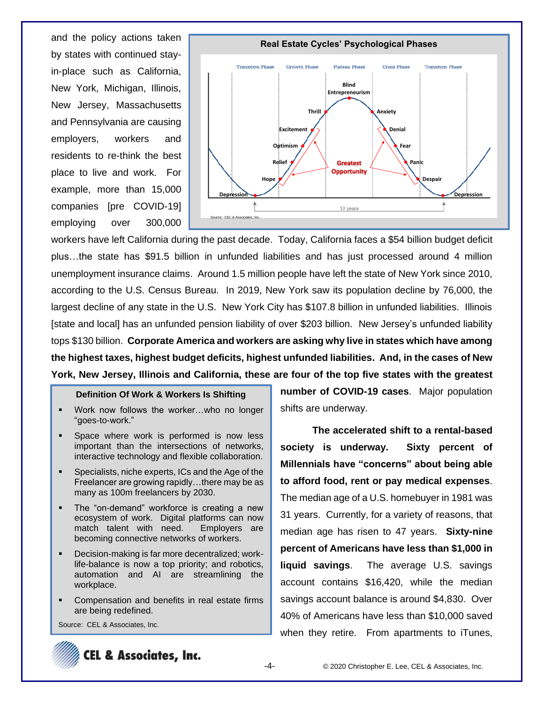and the policy actions taken by states with continued stayin-place such as California, New York, Michigan, Illinois, New Jersey, Massachusetts and Pennsylvania are causing employers, workers and residents to re-think the best place to live and work. For example, more than 15,000 companies [pre COVID-19] employing over 300,000



workers have left California during the past decade. Today, California faces a \$54 billion budget deficit plus…the state has \$91.5 billion in unfunded liabilities and has just processed around 4 million unemployment insurance claims. Around 1.5 million people have left the state of New York since 2010, according to the U.S. Census Bureau. In 2019, New York saw its population decline by 76,000, the largest decline of any state in the U.S. New York City has \$107.8 billion in unfunded liabilities. Illinois [state and local] has an unfunded pension liability of over \$203 billion. New Jersey's unfunded liability tops \$130 billion. **Corporate America and workers are asking why live in states which have among the highest taxes, highest budget deficits, highest unfunded liabilities. And, in the cases of New York, New Jersey, Illinois and California, these are four of the top five states with the greatest** 

### **Definition Of Work & Workers Is Shifting**

- Work now follows the worker...who no longer "goes-to-work."
- Space where work is performed is now less important than the intersections of networks, interactive technology and flexible collaboration.
- Specialists, niche experts, ICs and the Age of the Freelancer are growing rapidly…there may be as many as 100m freelancers by 2030.
- The "on-demand" workforce is creating a new ecosystem of work. Digital platforms can now match talent with need. Employers are becoming connective networks of workers.
- Decision-making is far more decentralized; worklife-balance is now a top priority; and robotics, automation and AI are streamlining the workplace.
- Compensation and benefits in real estate firms are being redefined.

Source: CEL & Associates, Inc.

**number of COVID-19 cases**. Major population shifts are underway.

**The accelerated shift to a rental-based society is underway. Sixty percent of Millennials have "concerns" about being able to afford food, rent or pay medical expenses**. The median age of a U.S. homebuyer in 1981 was 31 years. Currently, for a variety of reasons, that median age has risen to 47 years. **Sixty-nine percent of Americans have less than \$1,000 in liquid savings**. The average U.S. savings account contains \$16,420, while the median savings account balance is around \$4,830. Over 40% of Americans have less than \$10,000 saved when they retire. From apartments to iTunes,

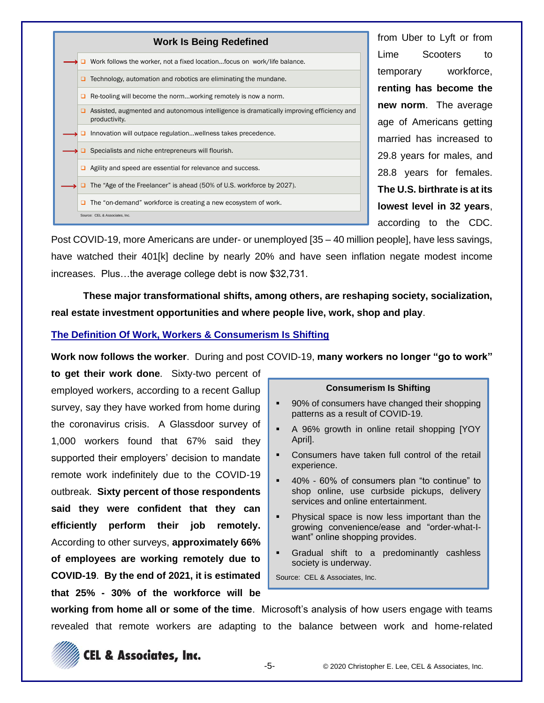

from Uber to Lyft or from Lime Scooters to temporary workforce, **renting has become the new norm**. The average age of Americans getting married has increased to 29.8 years for males, and 28.8 years for females. **The U.S. birthrate is at its lowest level in 32 years**, according to the CDC.

Post COVID-19, more Americans are under- or unemployed [35 – 40 million people], have less savings, have watched their 401[k] decline by nearly 20% and have seen inflation negate modest income increases. Plus…the average college debt is now \$32,731.

**These major transformational shifts, among others, are reshaping society, socialization, real estate investment opportunities and where people live, work, shop and play**.

## **The Definition Of Work, Workers & Consumerism Is Shifting**

**Work now follows the worker**. During and post COVID-19, **many workers no longer "go to work"** 

**to get their work done**. Sixty-two percent of employed workers, according to a recent Gallup survey, say they have worked from home during the coronavirus crisis. A Glassdoor survey of 1,000 workers found that 67% said they supported their employers' decision to mandate remote work indefinitely due to the COVID-19 outbreak. **Sixty percent of those respondents said they were confident that they can efficiently perform their job remotely.** According to other surveys, **approximately 66% of employees are working remotely due to COVID-19**. **By the end of 2021, it is estimated that 25% - 30% of the workforce will be** 

### **Consumerism Is Shifting**

- 90% of consumers have changed their shopping patterns as a result of COVID-19.
- A 96% growth in online retail shopping [YOY April].
- Consumers have taken full control of the retail experience.
- 40% 60% of consumers plan "to continue" to shop online, use curbside pickups, delivery services and online entertainment.
- **•** Physical space is now less important than the growing convenience/ease and "order-what-Iwant" online shopping provides.
- Gradual shift to a predominantly cashless society is underway.

Source: CEL & Associates, Inc.

**working from home all or some of the time**. Microsoft's analysis of how users engage with teams revealed that remote workers are adapting to the balance between work and home-related

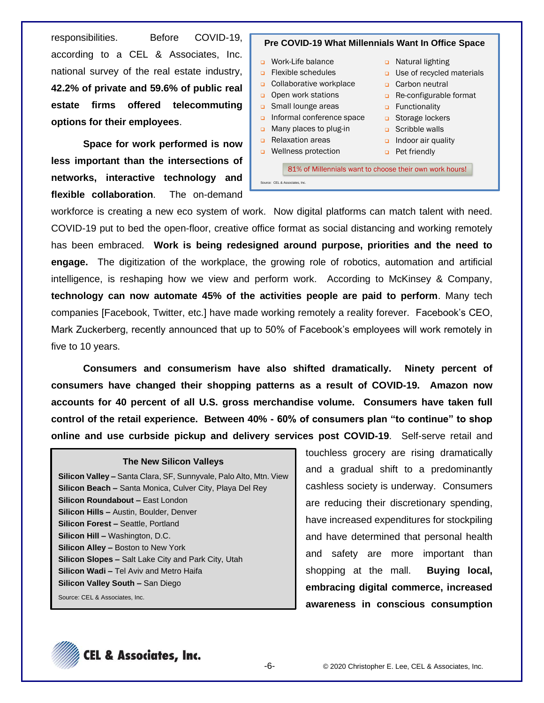responsibilities. Before COVID-19, according to a CEL & Associates, Inc. national survey of the real estate industry, **42.2% of private and 59.6% of public real estate firms offered telecommuting options for their employees**.

**Space for work performed is now less important than the intersections of networks, interactive technology and flexible collaboration**. The on-demand

## **Pre COVID-19 What Millennials Want In Office Space**

- ❑ Work-Life balance
- ❑ Flexible schedules
- ❑ Collaborative workplace
- ❑ Open work stations
- ❑ Small lounge areas
- ❑ Informal conference space
- ❑ Many places to plug-in
- ❑ Relaxation areas
- ❑ Wellness protection
- ❑ Natural lighting
- ❑ Use of recycled materials
- ❑ Carbon neutral
- ❑ Re-configurable format
- ❑ Functionality
- ❑ Storage lockers
- ❑ Scribble walls
- ❑ Indoor air quality
- ❑ Pet friendly

81% of Millennials want to choose their own work hours! Source: CEL & Associates, Inc.

workforce is creating a new eco system of work. Now digital platforms can match talent with need. COVID-19 put to bed the open-floor, creative office format as social distancing and working remotely has been embraced. **Work is being redesigned around purpose, priorities and the need to engage.** The digitization of the workplace, the growing role of robotics, automation and artificial intelligence, is reshaping how we view and perform work. According to McKinsey & Company, **technology can now automate 45% of the activities people are paid to perform**. Many tech companies [Facebook, Twitter, etc.] have made working remotely a reality forever. Facebook's CEO, Mark Zuckerberg, recently announced that up to 50% of Facebook's employees will work remotely in five to 10 years.

**Consumers and consumerism have also shifted dramatically. Ninety percent of consumers have changed their shopping patterns as a result of COVID-19. Amazon now accounts for 40 percent of all U.S. gross merchandise volume. Consumers have taken full control of the retail experience. Between 40% - 60% of consumers plan "to continue" to shop online and use curbside pickup and delivery services post COVID-19**. Self-serve retail and

#### **The New Silicon Valleys**

**Silicon Valley –** Santa Clara, SF, Sunnyvale, Palo Alto, Mtn. View **Silicon Beach –** Santa Monica, Culver City, Playa Del Rey **Silicon Roundabout –** East London **Silicon Hills –** Austin, Boulder, Denver **Silicon Forest –** Seattle, Portland **Silicon Hill –** Washington, D.C. **Silicon Alley –** Boston to New York **Silicon Slopes –** Salt Lake City and Park City, Utah **Silicon Wadi –** Tel Aviv and Metro Haifa **Silicon Valley South –** San Diego Source: CEL & Associates, Inc.

touchless grocery are rising dramatically and a gradual shift to a predominantly cashless society is underway. Consumers are reducing their discretionary spending, have increased expenditures for stockpiling and have determined that personal health and safety are more important than shopping at the mall. **Buying local, embracing digital commerce, increased awareness in conscious consumption** 

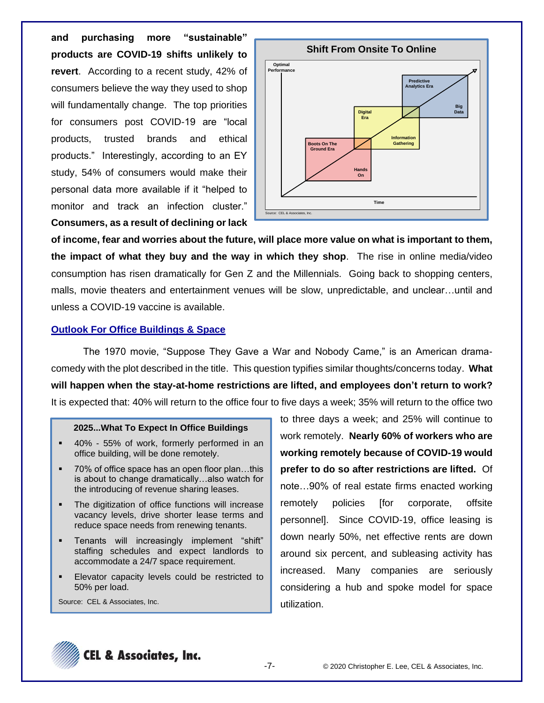**and purchasing more "sustainable" products are COVID-19 shifts unlikely to revert**. According to a recent study, 42% of consumers believe the way they used to shop will fundamentally change. The top priorities for consumers post COVID-19 are "local products, trusted brands and ethical products." Interestingly, according to an EY study, 54% of consumers would make their personal data more available if it "helped to monitor and track an infection cluster." **Consumers, as a result of declining or lack** 



**of income, fear and worries about the future, will place more value on what is important to them, the impact of what they buy and the way in which they shop**. The rise in online media/video consumption has risen dramatically for Gen Z and the Millennials. Going back to shopping centers, malls, movie theaters and entertainment venues will be slow, unpredictable, and unclear…until and unless a COVID-19 vaccine is available.

### **Outlook For Office Buildings & Space**

The 1970 movie, "Suppose They Gave a War and Nobody Came," is an American dramacomedy with the plot described in the title. This question typifies similar thoughts/concerns today. **What will happen when the stay-at-home restrictions are lifted, and employees don't return to work?** It is expected that: 40% will return to the office four to five days a week; 35% will return to the office two

### **2025...What To Expect In Office Buildings**

- 40% 55% of work, formerly performed in an office building, will be done remotely.
- 70% of office space has an open floor plan...this is about to change dramatically…also watch for the introducing of revenue sharing leases.
- The digitization of office functions will increase vacancy levels, drive shorter lease terms and reduce space needs from renewing tenants.
- Tenants will increasingly implement "shift" staffing schedules and expect landlords to accommodate a 24/7 space requirement.
- Elevator capacity levels could be restricted to 50% per load.

Source: CEL & Associates, Inc.

to three days a week; and 25% will continue to work remotely. **Nearly 60% of workers who are working remotely because of COVID-19 would prefer to do so after restrictions are lifted.** Of note…90% of real estate firms enacted working remotely policies [for corporate, offsite personnel]. Since COVID-19, office leasing is down nearly 50%, net effective rents are down around six percent, and subleasing activity has increased. Many companies are seriously considering a hub and spoke model for space utilization.

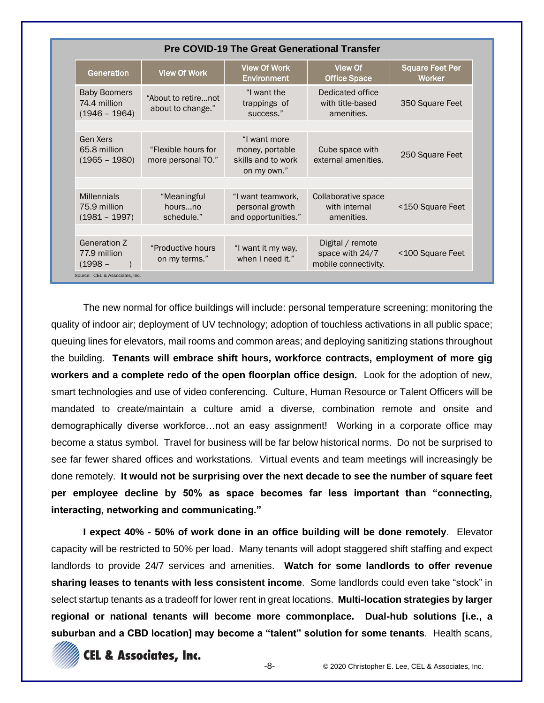|                                                                                                    |                                           | <b>Pre COVID-19 The Great Generational Transfer</b>                  |                                                             |                                         |
|----------------------------------------------------------------------------------------------------|-------------------------------------------|----------------------------------------------------------------------|-------------------------------------------------------------|-----------------------------------------|
| Generation                                                                                         | <b>View Of Work</b>                       | <b>View Of Work</b><br><b>Environment</b>                            | View Of<br><b>Office Space</b>                              | <b>Square Feet Per</b><br><b>Worker</b> |
| <b>Baby Boomers</b><br>"About to retirenot<br>74.4 million<br>about to change."<br>$(1946 - 1964)$ |                                           | "I want the<br>trappings of<br>success."                             | Dedicated office<br>with title-based<br>amenities.          | 350 Square Feet                         |
| Gen Xers<br>65.8 million<br>$(1965 - 1980)$                                                        | "Flexible hours for<br>more personal TO." | "I want more<br>money, portable<br>skills and to work<br>on my own." | Cube space with<br>external amenities.                      | 250 Square Feet                         |
| <b>Millennials</b><br>75.9 million<br>$(1981 - 1997)$                                              | "Meaningful<br>hoursno<br>schedule."      | "I want teamwork,<br>personal growth<br>and opportunities."          | Collaborative space<br>with internal<br>amenities.          | <150 Square Feet                        |
| Generation Z<br>77.9 million<br>$(1998 -$                                                          | "Productive hours<br>on my terms."        | "I want it my way,<br>when I need it."                               | Digital / remote<br>space with 24/7<br>mobile connectivity. | <100 Square Feet                        |
| Source: CEL & Associates, Inc.                                                                     |                                           |                                                                      |                                                             |                                         |

The new normal for office buildings will include: personal temperature screening; monitoring the quality of indoor air; deployment of UV technology; adoption of touchless activations in all public space; queuing lines for elevators, mail rooms and common areas; and deploying sanitizing stations throughout the building. **Tenants will embrace shift hours, workforce contracts, employment of more gig workers and a complete redo of the open floorplan office design.** Look for the adoption of new, smart technologies and use of video conferencing. Culture, Human Resource or Talent Officers will be mandated to create/maintain a culture amid a diverse, combination remote and onsite and demographically diverse workforce…not an easy assignment! Working in a corporate office may become a status symbol. Travel for business will be far below historical norms. Do not be surprised to see far fewer shared offices and workstations. Virtual events and team meetings will increasingly be done remotely. **It would not be surprising over the next decade to see the number of square feet per employee decline by 50% as space becomes far less important than "connecting, interacting, networking and communicating."**

**I expect 40% - 50% of work done in an office building will be done remotely**. Elevator capacity will be restricted to 50% per load. Many tenants will adopt staggered shift staffing and expect landlords to provide 24/7 services and amenities. **Watch for some landlords to offer revenue sharing leases to tenants with less consistent income**. Some landlords could even take "stock" in select startup tenants as a tradeoff for lower rent in great locations. **Multi-location strategies by larger regional or national tenants will become more commonplace. Dual-hub solutions [i.e., a suburban and a CBD location] may become a "talent" solution for some tenants**. Health scans,

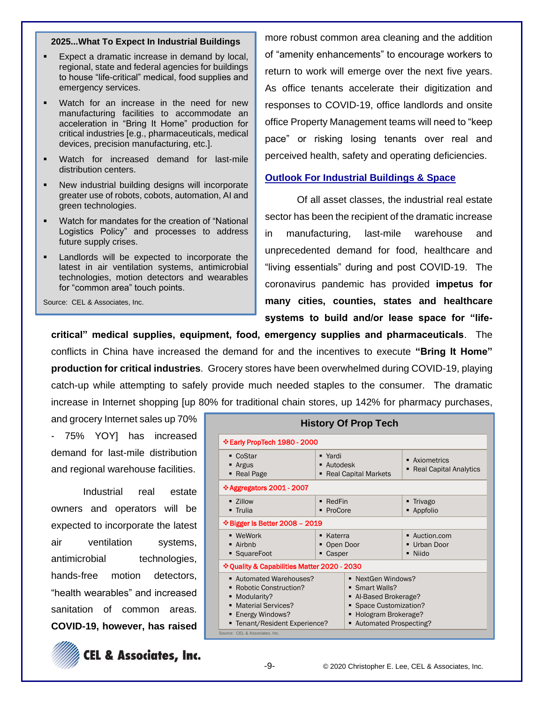#### **2025...What To Expect In Industrial Buildings**

- Expect a dramatic increase in demand by local, regional, state and federal agencies for buildings to house "life-critical" medical, food supplies and emergency services.
- Watch for an increase in the need for new manufacturing facilities to accommodate an acceleration in "Bring It Home" production for critical industries [e.g., pharmaceuticals, medical devices, precision manufacturing, etc.].
- Watch for increased demand for last-mile distribution centers.
- New industrial building designs will incorporate greater use of robots, cobots, automation, AI and green technologies.
- Watch for mandates for the creation of "National Logistics Policy" and processes to address future supply crises.
- Landlords will be expected to incorporate the latest in air ventilation systems, antimicrobial technologies, motion detectors and wearables for "common area" touch points.

Source: CEL & Associates, Inc.

more robust common area cleaning and the addition of "amenity enhancements" to encourage workers to return to work will emerge over the next five years. As office tenants accelerate their digitization and responses to COVID-19, office landlords and onsite office Property Management teams will need to "keep pace" or risking losing tenants over real and perceived health, safety and operating deficiencies.

### **Outlook For Industrial Buildings & Space**

Of all asset classes, the industrial real estate sector has been the recipient of the dramatic increase in manufacturing, last-mile warehouse and unprecedented demand for food, healthcare and "living essentials" during and post COVID-19. The coronavirus pandemic has provided **impetus for many cities, counties, states and healthcare systems to build and/or lease space for "life-**

**critical" medical supplies, equipment, food, emergency supplies and pharmaceuticals**. The conflicts in China have increased the demand for and the incentives to execute **"Bring It Home" production for critical industries**. Grocery stores have been overwhelmed during COVID-19, playing catch-up while attempting to safely provide much needed staples to the consumer. The dramatic increase in Internet shopping [up 80% for traditional chain stores, up 142% for pharmacy purchases,

and grocery Internet sales up 70% - 75% YOY] has increased demand for last-mile distribution and regional warehouse facilities.

Industrial real estate owners and operators will be expected to incorporate the latest air ventilation systems, antimicrobial technologies, hands-free motion detectors, "health wearables" and increased sanitation of common areas. **COVID-19, however, has raised** 



**CEL & Associates, Inc.** 

|                                                                                                                                                         |                                                    | <b>History Of Prop Tech</b>                                                                                                        |                                                |  |  |
|---------------------------------------------------------------------------------------------------------------------------------------------------------|----------------------------------------------------|------------------------------------------------------------------------------------------------------------------------------------|------------------------------------------------|--|--|
| Early PropTech 1980 - 2000                                                                                                                              |                                                    |                                                                                                                                    |                                                |  |  |
| ■ CoStar<br>■ Argus<br>• Real Page                                                                                                                      | ■ Yardi<br>Autodesk<br><b>Real Capital Markets</b> |                                                                                                                                    | • Axiometrics<br><b>Real Capital Analytics</b> |  |  |
| $\div$ Aggregators 2001 - 2007                                                                                                                          |                                                    |                                                                                                                                    |                                                |  |  |
| $\blacksquare$ 7illow<br>• Trulia                                                                                                                       | $\blacksquare$ RedFin<br>ProCore                   |                                                                                                                                    | Trivago<br>• Appfolio                          |  |  |
| $\div$ Bigger Is Better 2008 - 2019                                                                                                                     |                                                    |                                                                                                                                    |                                                |  |  |
| <b>U</b> WeWork<br>$\blacksquare$ Airbnb<br>• SquareFoot                                                                                                | Katerra<br>Open Door<br>Casper                     |                                                                                                                                    | ■ Auction.com<br>Urban Door<br>Niido           |  |  |
| ❖ Quality & Capabilities Matter 2020 - 2030                                                                                                             |                                                    |                                                                                                                                    |                                                |  |  |
| Automated Warehouses?<br><b>Robotic Construction?</b><br>• Modularity?<br><b>Material Services?</b><br>Energy Windows?<br>■ Tenant/Resident Experience? |                                                    | NextGen Windows?<br>Smart Walls?<br>Al-Based Brokerage?<br>Space Customization?<br>Hologram Brokerage?<br>■ Automated Prospecting? |                                                |  |  |
| Source: CEL & Associates, Inc.                                                                                                                          |                                                    |                                                                                                                                    |                                                |  |  |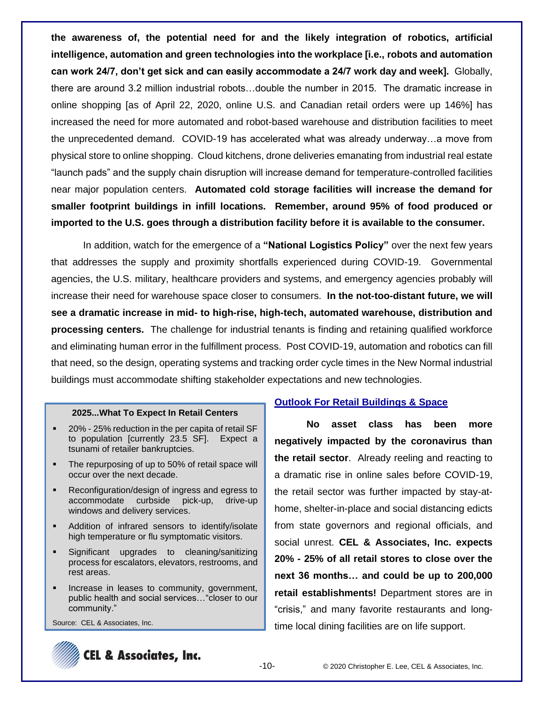**the awareness of, the potential need for and the likely integration of robotics, artificial intelligence, automation and green technologies into the workplace [i.e., robots and automation can work 24/7, don't get sick and can easily accommodate a 24/7 work day and week].** Globally, there are around 3.2 million industrial robots…double the number in 2015. The dramatic increase in online shopping [as of April 22, 2020, online U.S. and Canadian retail orders were up 146%] has increased the need for more automated and robot-based warehouse and distribution facilities to meet the unprecedented demand. COVID-19 has accelerated what was already underway…a move from physical store to online shopping. Cloud kitchens, drone deliveries emanating from industrial real estate "launch pads" and the supply chain disruption will increase demand for temperature-controlled facilities near major population centers. **Automated cold storage facilities will increase the demand for smaller footprint buildings in infill locations. Remember, around 95% of food produced or imported to the U.S. goes through a distribution facility before it is available to the consumer.**

In addition, watch for the emergence of a **"National Logistics Policy"** over the next few years that addresses the supply and proximity shortfalls experienced during COVID-19. Governmental agencies, the U.S. military, healthcare providers and systems, and emergency agencies probably will increase their need for warehouse space closer to consumers. **In the not-too-distant future, we will see a dramatic increase in mid- to high-rise, high-tech, automated warehouse, distribution and processing centers.** The challenge for industrial tenants is finding and retaining qualified workforce and eliminating human error in the fulfillment process. Post COVID-19, automation and robotics can fill that need, so the design, operating systems and tracking order cycle times in the New Normal industrial buildings must accommodate shifting stakeholder expectations and new technologies.

### **2025...What To Expect In Retail Centers**

- 20% 25% reduction in the per capita of retail SF to population [currently 23.5 SF]. Expect a tsunami of retailer bankruptcies.
- The repurposing of up to 50% of retail space will occur over the next decade.
- Reconfiguration/design of ingress and egress to accommodate curbside pick-up, drive-up windows and delivery services.
- Addition of infrared sensors to identify/isolate high temperature or flu symptomatic visitors.
- Significant upgrades to cleaning/sanitizing process for escalators, elevators, restrooms, and rest areas.
- **EXEDENT** Increase in leases to community, government, public health and social services…"closer to our community."

Source: CEL & Associates, Inc.

## **Outlook For Retail Buildings & Space**

**No asset class has been more negatively impacted by the coronavirus than the retail sector**. Already reeling and reacting to a dramatic rise in online sales before COVID-19, the retail sector was further impacted by stay-athome, shelter-in-place and social distancing edicts from state governors and regional officials, and social unrest. **CEL & Associates, Inc. expects 20% - 25% of all retail stores to close over the next 36 months… and could be up to 200,000 retail establishments!** Department stores are in "crisis," and many favorite restaurants and longtime local dining facilities are on life support.

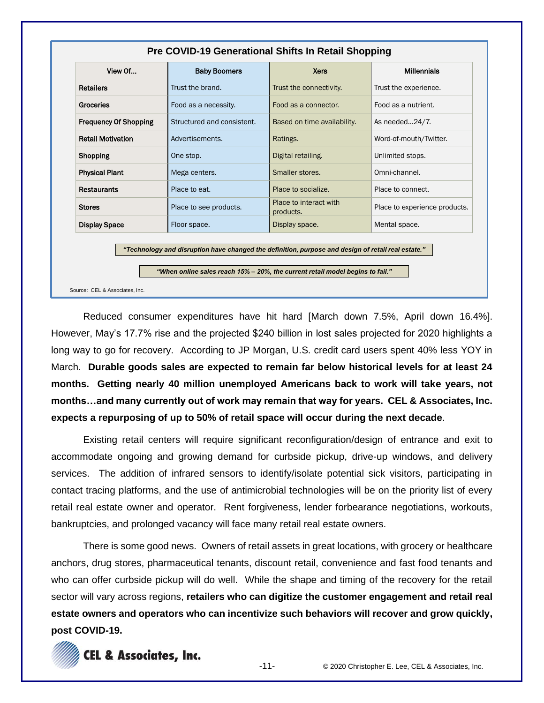| View Of                      | <b>Baby Boomers</b>                                                                                                                                                                 | <b>Xers</b>                         | <b>Millennials</b>            |
|------------------------------|-------------------------------------------------------------------------------------------------------------------------------------------------------------------------------------|-------------------------------------|-------------------------------|
| <b>Retailers</b>             | Trust the brand.                                                                                                                                                                    | Trust the connectivity.             | Trust the experience.         |
| <b>Groceries</b>             | Food as a necessity.                                                                                                                                                                | Food as a connector.                | Food as a nutrient.           |
| <b>Frequency Of Shopping</b> | Structured and consistent.                                                                                                                                                          | Based on time availability.         | As needed24/7.                |
| <b>Retail Motivation</b>     | Advertisements.                                                                                                                                                                     | Ratings.                            | Word-of-mouth/Twitter.        |
| Shopping                     | One stop.                                                                                                                                                                           | Digital retailing.                  | Unlimited stops.              |
| <b>Physical Plant</b>        | Mega centers.                                                                                                                                                                       | Smaller stores.                     | Omni-channel.                 |
| <b>Restaurants</b>           | Place to eat.                                                                                                                                                                       | Place to socialize.                 | Place to connect.             |
| <b>Stores</b>                | Place to see products.                                                                                                                                                              | Place to interact with<br>products. | Place to experience products. |
| <b>Display Space</b>         | Floor space.                                                                                                                                                                        | Display space.                      | Mental space.                 |
|                              | "Technology and disruption have changed the definition, purpose and design of retail real estate."<br>"When online sales reach 15% – 20%, the current retail model begins to fail." |                                     |                               |

Reduced consumer expenditures have hit hard [March down 7.5%, April down 16.4%]. However, May's 17.7% rise and the projected \$240 billion in lost sales projected for 2020 highlights a long way to go for recovery. According to JP Morgan, U.S. credit card users spent 40% less YOY in March. **Durable goods sales are expected to remain far below historical levels for at least 24 months. Getting nearly 40 million unemployed Americans back to work will take years, not months…and many currently out of work may remain that way for years. CEL & Associates, Inc. expects a repurposing of up to 50% of retail space will occur during the next decade**.

Existing retail centers will require significant reconfiguration/design of entrance and exit to accommodate ongoing and growing demand for curbside pickup, drive-up windows, and delivery services. The addition of infrared sensors to identify/isolate potential sick visitors, participating in contact tracing platforms, and the use of antimicrobial technologies will be on the priority list of every retail real estate owner and operator. Rent forgiveness, lender forbearance negotiations, workouts, bankruptcies, and prolonged vacancy will face many retail real estate owners.

There is some good news. Owners of retail assets in great locations, with grocery or healthcare anchors, drug stores, pharmaceutical tenants, discount retail, convenience and fast food tenants and who can offer curbside pickup will do well. While the shape and timing of the recovery for the retail sector will vary across regions, **retailers who can digitize the customer engagement and retail real estate owners and operators who can incentivize such behaviors will recover and grow quickly, post COVID-19.**

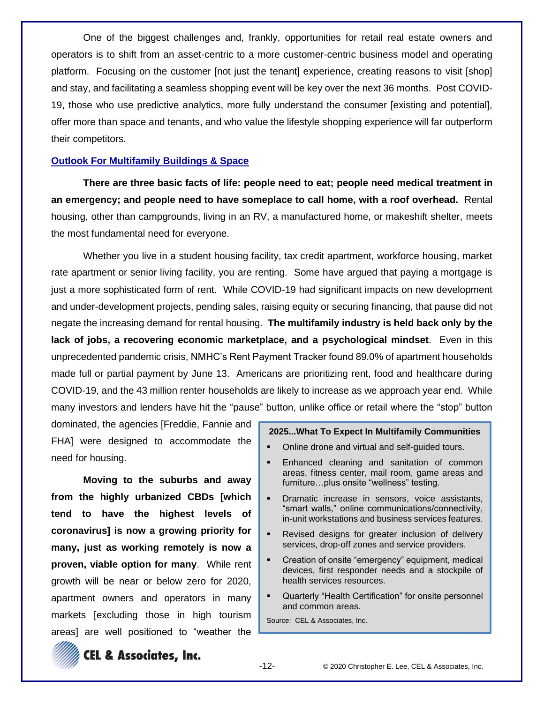One of the biggest challenges and, frankly, opportunities for retail real estate owners and operators is to shift from an asset-centric to a more customer-centric business model and operating platform. Focusing on the customer [not just the tenant] experience, creating reasons to visit [shop] and stay, and facilitating a seamless shopping event will be key over the next 36 months. Post COVID-19, those who use predictive analytics, more fully understand the consumer [existing and potential], offer more than space and tenants, and who value the lifestyle shopping experience will far outperform their competitors.

### **Outlook For Multifamily Buildings & Space**

**There are three basic facts of life: people need to eat; people need medical treatment in an emergency; and people need to have someplace to call home, with a roof overhead.** Rental housing, other than campgrounds, living in an RV, a manufactured home, or makeshift shelter, meets the most fundamental need for everyone.

Whether you live in a student housing facility, tax credit apartment, workforce housing, market rate apartment or senior living facility, you are renting. Some have argued that paying a mortgage is just a more sophisticated form of rent. While COVID-19 had significant impacts on new development and under-development projects, pending sales, raising equity or securing financing, that pause did not negate the increasing demand for rental housing. **The multifamily industry is held back only by the lack of jobs, a recovering economic marketplace, and a psychological mindset**. Even in this unprecedented pandemic crisis, NMHC's Rent Payment Tracker found 89.0% of apartment households made full or partial payment by June 13. Americans are prioritizing rent, food and healthcare during COVID-19, and the 43 million renter households are likely to increase as we approach year end. While many investors and lenders have hit the "pause" button, unlike office or retail where the "stop" button

dominated, the agencies [Freddie, Fannie and FHA] were designed to accommodate the need for housing.

**Moving to the suburbs and away from the highly urbanized CBDs [which tend to have the highest levels of coronavirus] is now a growing priority for many, just as working remotely is now a proven, viable option for many**. While rent growth will be near or below zero for 2020, apartment owners and operators in many markets [excluding those in high tourism areas] are well positioned to "weather the

### **2025...What To Expect In Multifamily Communities**

- Online drone and virtual and self-guided tours.
- Enhanced cleaning and sanitation of common areas, fitness center, mail room, game areas and furniture…plus onsite "wellness" testing.
- Dramatic increase in sensors, voice assistants, "smart walls," online communications/connectivity, in-unit workstations and business services features.
- Revised designs for greater inclusion of delivery services, drop-off zones and service providers.
- Creation of onsite "emergency" equipment, medical devices, first responder needs and a stockpile of health services resources.
- Quarterly "Health Certification" for onsite personnel and common areas.

Source: CEL & Associates, Inc.



**CEL & Associates, Inc.**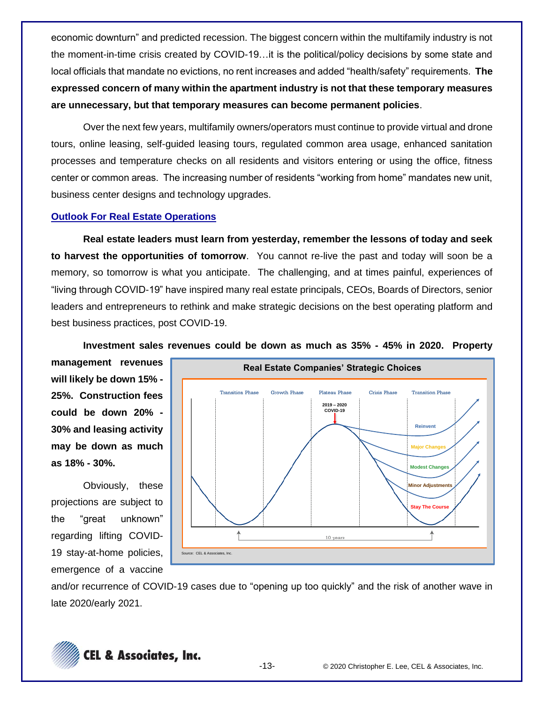economic downturn" and predicted recession. The biggest concern within the multifamily industry is not the moment-in-time crisis created by COVID-19…it is the political/policy decisions by some state and local officials that mandate no evictions, no rent increases and added "health/safety" requirements. **The expressed concern of many within the apartment industry is not that these temporary measures are unnecessary, but that temporary measures can become permanent policies**.

Over the next few years, multifamily owners/operators must continue to provide virtual and drone tours, online leasing, self-guided leasing tours, regulated common area usage, enhanced sanitation processes and temperature checks on all residents and visitors entering or using the office, fitness center or common areas. The increasing number of residents "working from home" mandates new unit, business center designs and technology upgrades.

## **Outlook For Real Estate Operations**

**Real estate leaders must learn from yesterday, remember the lessons of today and seek to harvest the opportunities of tomorrow**. You cannot re-live the past and today will soon be a memory, so tomorrow is what you anticipate. The challenging, and at times painful, experiences of "living through COVID-19" have inspired many real estate principals, CEOs, Boards of Directors, senior leaders and entrepreneurs to rethink and make strategic decisions on the best operating platform and best business practices, post COVID-19.

**Investment sales revenues could be down as much as 35% - 45% in 2020. Property** 

**management revenues will likely be down 15% - 25%. Construction fees could be down 20% - 30% and leasing activity may be down as much as 18% - 30%.**

Obviously, these projections are subject to the "great unknown" regarding lifting COVID-19 stay-at-home policies, emergence of a vaccine



and/or recurrence of COVID-19 cases due to "opening up too quickly" and the risk of another wave in late 2020/early 2021.

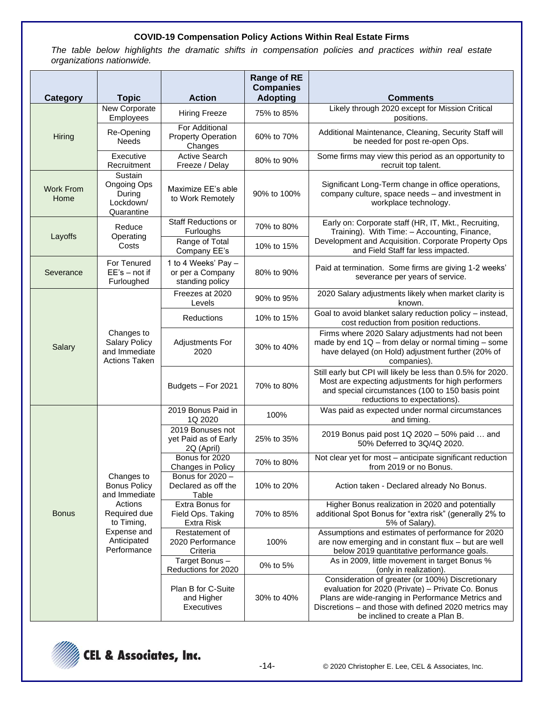### **COVID-19 Compensation Policy Actions Within Real Estate Firms**

*The table below highlights the dramatic shifts in compensation policies and practices within real estate organizations nationwide.* 

|                          |                                                                                                                                          |                                                            | <b>Range of RE</b><br><b>Companies</b> |                                                                                                                                                                                                                                                        |                                                                                     |
|--------------------------|------------------------------------------------------------------------------------------------------------------------------------------|------------------------------------------------------------|----------------------------------------|--------------------------------------------------------------------------------------------------------------------------------------------------------------------------------------------------------------------------------------------------------|-------------------------------------------------------------------------------------|
| <b>Category</b>          | <b>Topic</b>                                                                                                                             | <b>Action</b>                                              | <b>Adopting</b>                        | <b>Comments</b>                                                                                                                                                                                                                                        |                                                                                     |
|                          | New Corporate<br><b>Employees</b>                                                                                                        | <b>Hiring Freeze</b>                                       | 75% to 85%                             | Likely through 2020 except for Mission Critical<br>positions.                                                                                                                                                                                          |                                                                                     |
| Hiring                   | Re-Opening<br><b>Needs</b>                                                                                                               | For Additional<br><b>Property Operation</b><br>Changes     | 60% to 70%                             | Additional Maintenance, Cleaning, Security Staff will<br>be needed for post re-open Ops.                                                                                                                                                               |                                                                                     |
|                          | Executive<br>Recruitment                                                                                                                 | <b>Active Search</b><br>Freeze / Delay                     | 80% to 90%                             | Some firms may view this period as an opportunity to<br>recruit top talent.                                                                                                                                                                            |                                                                                     |
| <b>Work From</b><br>Home | Sustain<br>Ongoing Ops<br>During<br>Lockdown/<br>Quarantine                                                                              | Maximize EE's able<br>to Work Remotely                     | 90% to 100%                            | Significant Long-Term change in office operations,<br>company culture, space needs - and investment in<br>workplace technology.                                                                                                                        |                                                                                     |
| Layoffs                  | Reduce<br>Operating                                                                                                                      | <b>Staff Reductions or</b><br>Furloughs                    | 70% to 80%                             | Early on: Corporate staff (HR, IT, Mkt., Recruiting,<br>Training). With Time: - Accounting, Finance,                                                                                                                                                   |                                                                                     |
|                          | Costs                                                                                                                                    | Range of Total<br>Company EE's                             | 10% to 15%                             | Development and Acquisition. Corporate Property Ops<br>and Field Staff far less impacted.                                                                                                                                                              |                                                                                     |
| Severance                | For Tenured<br>$EE's - not if$<br>Furloughed                                                                                             | 1 to 4 Weeks' Pay -<br>or per a Company<br>standing policy | 80% to 90%                             | Paid at termination. Some firms are giving 1-2 weeks'<br>severance per years of service.                                                                                                                                                               |                                                                                     |
|                          |                                                                                                                                          | Freezes at 2020<br>Levels                                  | 90% to 95%                             | 2020 Salary adjustments likely when market clarity is<br>known.                                                                                                                                                                                        |                                                                                     |
|                          | Changes to<br><b>Salary Policy</b><br>and Immediate<br><b>Actions Taken</b>                                                              | <b>Reductions</b>                                          | 10% to 15%                             | Goal to avoid blanket salary reduction policy - instead,<br>cost reduction from position reductions.                                                                                                                                                   |                                                                                     |
| Salary                   |                                                                                                                                          | <b>Adjustments For</b><br>2020                             | 30% to 40%                             | Firms where 2020 Salary adjustments had not been<br>made by end $1Q$ – from delay or normal timing – some<br>have delayed (on Hold) adjustment further (20% of<br>companies).                                                                          |                                                                                     |
|                          |                                                                                                                                          | Budgets - For 2021                                         | 70% to 80%                             | Still early but CPI will likely be less than 0.5% for 2020.<br>Most are expecting adjustments for high performers<br>and special circumstances (100 to 150 basis point<br>reductions to expectations).                                                 |                                                                                     |
|                          |                                                                                                                                          | 2019 Bonus Paid in<br>1Q 2020                              | 100%                                   | Was paid as expected under normal circumstances<br>and timing.                                                                                                                                                                                         |                                                                                     |
|                          | Changes to<br><b>Bonus Policy</b><br>and Immediate<br>Actions<br>Required due<br>to Timing,<br>Expense and<br>Anticipated<br>Performance | 2019 Bonuses not<br>yet Paid as of Early<br>2Q (April)     | 25% to 35%                             | 2019 Bonus paid post 1Q 2020 - 50% paid  and<br>50% Deferred to 3Q/4Q 2020.                                                                                                                                                                            |                                                                                     |
|                          |                                                                                                                                          |                                                            | Bonus for 2020<br>Changes in Policy    | 70% to 80%                                                                                                                                                                                                                                             | Not clear yet for most - anticipate significant reduction<br>from 2019 or no Bonus. |
|                          |                                                                                                                                          | Bonus for 2020 -<br>Declared as off the<br>Table           | 10% to 20%                             | Action taken - Declared already No Bonus.                                                                                                                                                                                                              |                                                                                     |
| Bonus                    |                                                                                                                                          | Extra Bonus for<br>Field Ops. Taking<br>Extra Risk         | 70% to 85%                             | Higher Bonus realization in 2020 and potentially<br>additional Spot Bonus for "extra risk" (generally 2% to<br>5% of Salary).                                                                                                                          |                                                                                     |
|                          |                                                                                                                                          | Restatement of<br>2020 Performance<br>Criteria             | 100%                                   | Assumptions and estimates of performance for 2020<br>are now emerging and in constant flux - but are well<br>below 2019 quantitative performance goals.                                                                                                |                                                                                     |
|                          |                                                                                                                                          | Target Bonus-<br>Reductions for 2020                       | 0% to 5%                               | As in 2009, little movement in target Bonus %<br>(only in realization).                                                                                                                                                                                |                                                                                     |
|                          |                                                                                                                                          | Plan B for C-Suite<br>and Higher<br>Executives             | 30% to 40%                             | Consideration of greater (or 100%) Discretionary<br>evaluation for 2020 (Private) - Private Co. Bonus<br>Plans are wide-ranging in Performance Metrics and<br>Discretions - and those with defined 2020 metrics may<br>be inclined to create a Plan B. |                                                                                     |

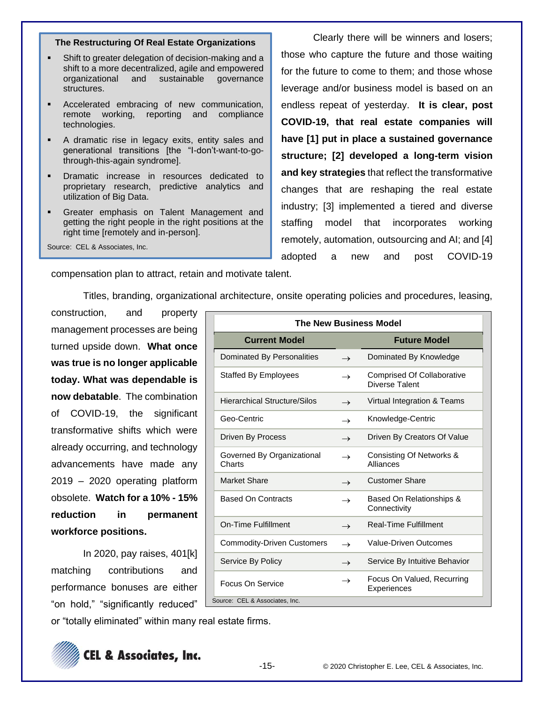### **The Restructuring Of Real Estate Organizations**

- Shift to greater delegation of decision-making and a shift to a more decentralized, agile and empowered organizational and sustainable governance structures.
- Accelerated embracing of new communication, remote working, reporting and compliance technologies.
- A dramatic rise in legacy exits, entity sales and generational transitions [the "I-don't-want-to-gothrough-this-again syndrome].
- Dramatic increase in resources dedicated to proprietary research, predictive analytics and utilization of Big Data.
- Greater emphasis on Talent Management and getting the right people in the right positions at the right time [remotely and in-person].

Source: CEL & Associates, Inc.

Clearly there will be winners and losers; those who capture the future and those waiting for the future to come to them; and those whose leverage and/or business model is based on an endless repeat of yesterday. **It is clear, post COVID-19, that real estate companies will have [1] put in place a sustained governance structure; [2] developed a long-term vision and key strategies** that reflect the transformative changes that are reshaping the real estate industry; [3] implemented a tiered and diverse staffing model that incorporates working remotely, automation, outsourcing and AI; and [4] adopted a new and post COVID-19

compensation plan to attract, retain and motivate talent.

Titles, branding, organizational architecture, onsite operating policies and procedures, leasing,

construction, and property management processes are being turned upside down. **What once was true is no longer applicable today. What was dependable is now debatable**. The combination of COVID-19, the significant transformative shifts which were already occurring, and technology advancements have made any 2019 – 2020 operating platform obsolete. **Watch for a 10% - 15% reduction in permanent workforce positions.**

In 2020, pay raises, 401[k] matching contributions and performance bonuses are either "on hold," "significantly reduced"

or "totally eliminated" within many real estate firms.



| <b>Future Model</b><br>Dominated By Knowledge<br><b>Comprised Of Collaborative</b><br>Diverse Talent |
|------------------------------------------------------------------------------------------------------|
|                                                                                                      |
|                                                                                                      |
|                                                                                                      |
| Virtual Integration & Teams                                                                          |
| Knowledge-Centric                                                                                    |
| Driven By Creators Of Value                                                                          |
| Consisting Of Networks &<br>Alliances                                                                |
| <b>Customer Share</b>                                                                                |
| Based On Relationships &<br>Connectivity                                                             |
| <b>Real-Time Fulfillment</b>                                                                         |
| Value-Driven Outcomes                                                                                |
| Service By Intuitive Behavior                                                                        |
|                                                                                                      |
|                                                                                                      |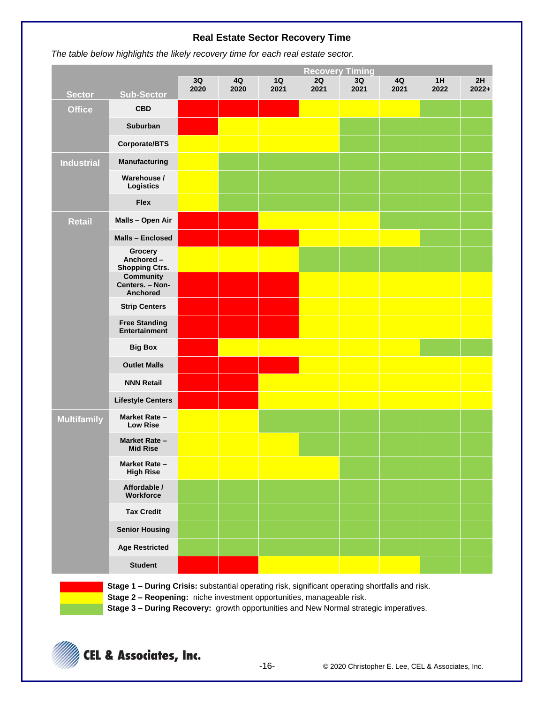## **Real Estate Sector Recovery Time**

**The table below highlights the likely recovery time for each real estate sector.** 

|                    |                                                        |            |            |            | <b>Recovery Timing</b> |            |            |            |               |
|--------------------|--------------------------------------------------------|------------|------------|------------|------------------------|------------|------------|------------|---------------|
| <b>Sector</b>      | <b>Sub-Sector</b>                                      | 3Q<br>2020 | 4Q<br>2020 | 1Q<br>2021 | 2Q<br>2021             | 3Q<br>2021 | 4Q<br>2021 | 1H<br>2022 | 2H<br>$2022+$ |
| <b>Office</b>      | <b>CBD</b>                                             |            |            |            |                        |            |            |            |               |
|                    | Suburban                                               |            |            |            |                        |            |            |            |               |
|                    | Corporate/BTS                                          |            |            |            |                        |            |            |            |               |
| <b>Industrial</b>  | Manufacturing                                          |            |            |            |                        |            |            |            |               |
|                    | Warehouse /<br><b>Logistics</b>                        |            |            |            |                        |            |            |            |               |
|                    | <b>Flex</b>                                            |            |            |            |                        |            |            |            |               |
| <b>Retail</b>      | Malls - Open Air                                       |            |            |            |                        |            |            |            |               |
|                    | Malls - Enclosed                                       |            |            |            |                        |            |            |            |               |
|                    | <b>Grocery</b><br>Anchored -<br><b>Shopping Ctrs.</b>  |            |            |            |                        |            |            |            |               |
|                    | <b>Community</b><br>Centers. - Non-<br><b>Anchored</b> |            |            |            |                        |            |            |            |               |
|                    | <b>Strip Centers</b>                                   |            |            |            |                        |            |            |            |               |
|                    | <b>Free Standing</b><br>Entertainment                  |            |            |            |                        |            |            |            |               |
|                    | <b>Big Box</b>                                         |            |            |            |                        |            |            |            |               |
|                    | <b>Outlet Malls</b>                                    |            |            |            |                        |            |            |            |               |
|                    | <b>NNN Retail</b>                                      |            |            |            |                        |            |            |            |               |
|                    | <b>Lifestyle Centers</b>                               |            |            |            |                        |            |            |            |               |
| <b>Multifamily</b> | Market Rate -<br><b>Low Rise</b>                       |            |            |            |                        |            |            |            |               |
|                    | Market Rate -<br><b>Mid Rise</b>                       |            |            |            |                        |            |            |            |               |
|                    | Market Rate -<br><b>High Rise</b>                      |            |            |            |                        |            |            |            |               |
|                    | Affordable /<br>Workforce                              |            |            |            |                        |            |            |            |               |
|                    | <b>Tax Credit</b>                                      |            |            |            |                        |            |            |            |               |
|                    | <b>Senior Housing</b>                                  |            |            |            |                        |            |            |            |               |
|                    | <b>Age Restricted</b>                                  |            |            |            |                        |            |            |            |               |
|                    | <b>Student</b>                                         |            |            |            |                        |            |            |            |               |

**Stage 1 – During Crisis:** substantial operating risk, significant operating shortfalls and risk. **Stage 2 – Reopening:** niche investment opportunities, manageable risk.

**Stage 3 – During Recovery:** growth opportunities and New Normal strategic imperatives.

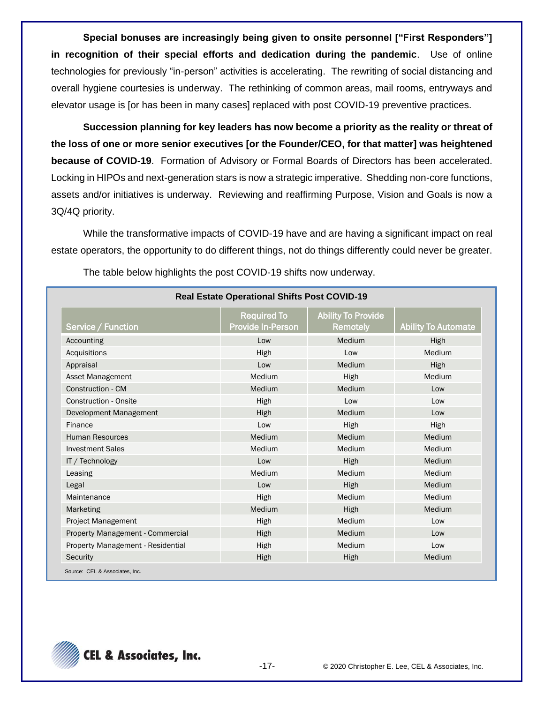**Special bonuses are increasingly being given to onsite personnel ["First Responders"] in recognition of their special efforts and dedication during the pandemic**. Use of online technologies for previously "in-person" activities is accelerating. The rewriting of social distancing and overall hygiene courtesies is underway. The rethinking of common areas, mail rooms, entryways and elevator usage is [or has been in many cases] replaced with post COVID-19 preventive practices.

**Succession planning for key leaders has now become a priority as the reality or threat of the loss of one or more senior executives [or the Founder/CEO, for that matter] was heightened because of COVID-19**. Formation of Advisory or Formal Boards of Directors has been accelerated. Locking in HIPOs and next-generation stars is now a strategic imperative. Shedding non-core functions, assets and/or initiatives is underway. Reviewing and reaffirming Purpose, Vision and Goals is now a 3Q/4Q priority.

While the transformative impacts of COVID-19 have and are having a significant impact on real estate operators, the opportunity to do different things, not do things differently could never be greater.

| Service / Function                | <b>Required To</b><br><b>Provide In-Person</b> | <b>Ability To Provide</b><br><b>Remotely</b> | <b>Ability To Automate</b> |
|-----------------------------------|------------------------------------------------|----------------------------------------------|----------------------------|
| Accounting                        | Low                                            | Medium                                       | High                       |
| Acquisitions                      | High                                           | Low                                          | Medium                     |
| Appraisal                         | Low                                            | Medium                                       | High                       |
| Asset Management                  | Medium                                         | High                                         | Medium                     |
| Construction - CM                 | Medium                                         | Medium                                       | Low                        |
| <b>Construction - Onsite</b>      | High                                           | Low                                          | Low                        |
| Development Management            | High                                           | Medium                                       | Low                        |
| Finance                           | Low                                            | High                                         | High                       |
| <b>Human Resources</b>            | Medium                                         | Medium                                       | Medium                     |
| <b>Investment Sales</b>           | Medium                                         | Medium                                       | Medium                     |
| IT / Technology                   | Low                                            | High                                         | Medium                     |
| Leasing                           | Medium                                         | Medium                                       | Medium                     |
| Legal                             | Low                                            | High                                         | Medium                     |
| Maintenance                       | High                                           | Medium                                       | Medium                     |
| Marketing                         | Medium                                         | High                                         | Medium                     |
| Project Management                | High                                           | Medium                                       | Low                        |
| Property Management - Commercial  | High                                           | Medium                                       | Low                        |
| Property Management - Residential | High                                           | Medium                                       | Low                        |
| Security                          | High                                           | High                                         | Medium                     |

The table below highlights the post COVID-19 shifts now underway.

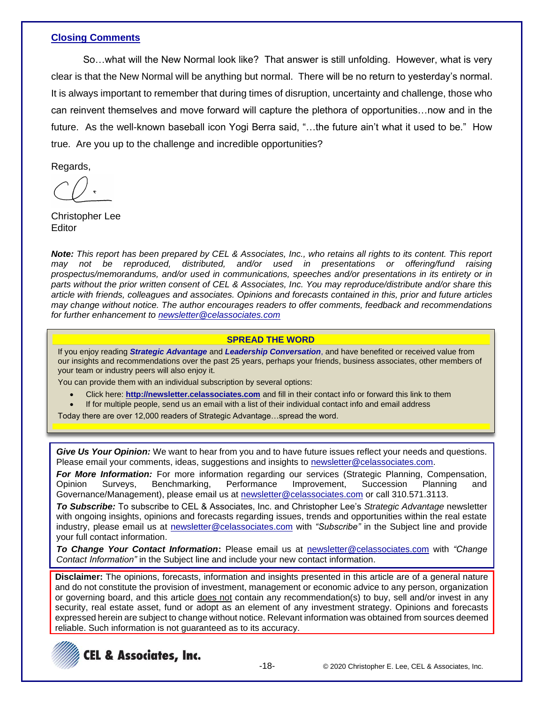## **Closing Comments**

So…what will the New Normal look like? That answer is still unfolding. However, what is very clear is that the New Normal will be anything but normal. There will be no return to yesterday's normal. It is always important to remember that during times of disruption, uncertainty and challenge, those who can reinvent themselves and move forward will capture the plethora of opportunities…now and in the future. As the well-known baseball icon Yogi Berra said, "…the future ain't what it used to be." How true. Are you up to the challenge and incredible opportunities?

Regards,

Christopher Lee **Editor** 

*Note: This report has been prepared by CEL & Associates, Inc., who retains all rights to its content. This report may not be reproduced, distributed, and/or used in presentations or offering/fund raising prospectus/memorandums, and/or used in communications, speeches and/or presentations in its entirety or in parts without the prior written consent of CEL & Associates, Inc. You may reproduce/distribute and/or share this article with friends, colleagues and associates. Opinions and forecasts contained in this, prior and future articles may change without notice. The author encourages readers to offer comments, feedback and recommendations for further enhancement to [newsletter@celassociates.com](mailto:newsletter@celassociates.com)*

### **SPREAD THE WORD**

If you enjoy reading *Strategic Advantage* and *Leadership Conversation*, and have benefited or received value from our insights and recommendations over the past 25 years, perhaps your friends, business associates, other members of your team or industry peers will also enjoy it.

You can provide them with an individual subscription by several options:

- Click here: **http://newsletter.celassociates.com** and fill in their contact info or forward this link to them
- If for multiple people, send us an email with a list of their individual contact info and email address

Today there are over 12,000 readers of Strategic Advantage…spread the word.

*Give Us Your Opinion:* We want to hear from you and to have future issues reflect your needs and questions. Please email your comments, ideas, suggestions and insights to newsletter@celassociates.com.

*For More Information:* For more information regarding our services (Strategic Planning, Compensation, Opinion Surveys, Benchmarking, Performance Improvement, Succession Planning and Governance/Management), please email us at newsletter@celassociates.com or call 310.571.3113.

*To Subscribe:* To subscribe to CEL & Associates, Inc. and Christopher Lee's *Strategic Advantage* newsletter with ongoing insights, opinions and forecasts regarding issues, trends and opportunities within the real estate industry, please email us at newsletter@celassociates.com with *"Subscribe"* in the Subject line and provide your full contact information.

*To Change Your Contact Information***:** Please email us at newsletter@celassociates.com with *"Change Contact Information"* in the Subject line and include your new contact information.

**Disclaimer:** The opinions, forecasts, information and insights presented in this article are of a general nature and do not constitute the provision of investment, management or economic advice to any person, organization or governing board, and this article does not contain any recommendation(s) to buy, sell and/or invest in any security, real estate asset, fund or adopt as an element of any investment strategy. Opinions and forecasts expressed herein are subject to change without notice. Relevant information was obtained from sources deemed reliable. Such information is not guaranteed as to its accuracy.